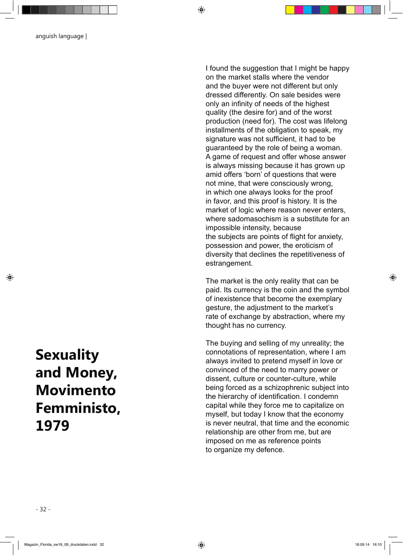anguish language |

I found the suggestion that I might be happy on the market stalls where the vendor and the buyer were not different but only dressed differently. On sale besides were only an infinity of needs of the highest quality (the desire for) and of the worst production (need for). The cost was lifelong installments of the obligation to speak, my signature was not sufficient, it had to be guaranteed by the role of being a woman. A game of request and offer whose answer is always missing because it has grown up amid offers 'born' of questions that were not mine, that were consciously wrong, in which one always looks for the proof in favor, and this proof is history. It is the market of logic where reason never enters, where sadomasochism is a substitute for an impossible intensity, because the subjects are points of flight for anxiety, possession and power, the eroticism of diversity that declines the repetitiveness of estrangement.

The market is the only reality that can be paid. Its currency is the coin and the symbol of inexistence that become the exemplary gesture, the adjustment to the market's rate of exchange by abstraction, where my thought has no currency.

The buying and selling of my unreality; the connotations of representation, where I am always invited to pretend myself in love or convinced of the need to marry power or dissent, culture or counter-culture, while being forced as a schizophrenic subject into the hierarchy of identification. I condemn capital while they force me to capitalize on myself, but today I know that the economy is never neutral, that time and the economic relationship are other from me, but are imposed on me as reference points to organize my defence.

## **Sexuality and Money, Movimento Femministo, 1979**

◈

◈

◈